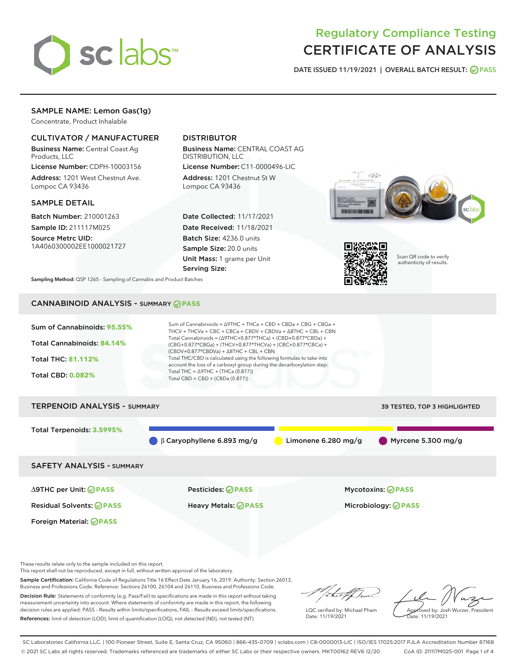

# Regulatory Compliance Testing CERTIFICATE OF ANALYSIS

DATE ISSUED 11/19/2021 | OVERALL BATCH RESULT: @ PASS

# SAMPLE NAME: Lemon Gas(1g)

Concentrate, Product Inhalable

# CULTIVATOR / MANUFACTURER

Business Name: Central Coast Ag Products, LLC

License Number: CDPH-10003156 Address: 1201 West Chestnut Ave. Lompoc CA 93436

## SAMPLE DETAIL

Batch Number: 210001263 Sample ID: 211117M025

Source Metrc UID: 1A4060300002EE1000021727

# DISTRIBUTOR

Business Name: CENTRAL COAST AG DISTRIBUTION, LLC License Number: C11-0000496-LIC

Address: 1201 Chestnut St W Lompoc CA 93436

Date Collected: 11/17/2021 Date Received: 11/18/2021 Batch Size: 4236.0 units Sample Size: 20.0 units Unit Mass: 1 grams per Unit Serving Size:





Scan QR code to verify authenticity of results.

Sampling Method: QSP 1265 - Sampling of Cannabis and Product Batches

# CANNABINOID ANALYSIS - SUMMARY **PASS**



These results relate only to the sample included on this report.

This report shall not be reproduced, except in full, without written approval of the laboratory.

Sample Certification: California Code of Regulations Title 16 Effect Date January 16, 2019. Authority: Section 26013, Business and Professions Code. Reference: Sections 26100, 26104 and 26110, Business and Professions Code. Decision Rule: Statements of conformity (e.g. Pass/Fail) to specifications are made in this report without taking

measurement uncertainty into account. Where statements of conformity are made in this report, the following decision rules are applied: PASS – Results within limits/specifications, FAIL – Results exceed limits/specifications. References: limit of detection (LOD), limit of quantification (LOQ), not detected (ND), not tested (NT)

that f h

LQC verified by: Michael Pham Date: 11/19/2021

Approved by: Josh Wurzer, President Date: 11/19/2021

SC Laboratories California LLC. | 100 Pioneer Street, Suite E, Santa Cruz, CA 95060 | 866-435-0709 | sclabs.com | C8-0000013-LIC | ISO/IES 17025:2017 PJLA Accreditation Number 87168 © 2021 SC Labs all rights reserved. Trademarks referenced are trademarks of either SC Labs or their respective owners. MKT00162 REV6 12/20 CoA ID: 211117M025-001 Page 1 of 4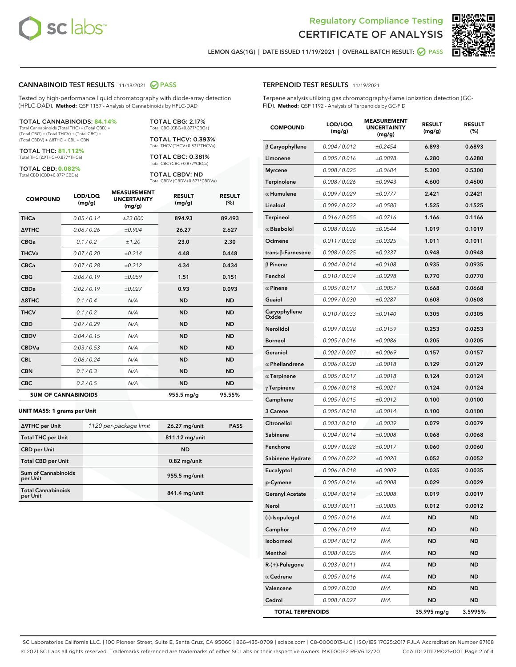



LEMON GAS(1G) | DATE ISSUED 11/19/2021 | OVERALL BATCH RESULT:  $\bigcirc$  PASS

### CANNABINOID TEST RESULTS - 11/18/2021 2 PASS

Tested by high-performance liquid chromatography with diode-array detection (HPLC-DAD). **Method:** QSP 1157 - Analysis of Cannabinoids by HPLC-DAD

#### TOTAL CANNABINOIDS: **84.14%**

Total Cannabinoids (Total THC) + (Total CBD) + (Total CBG) + (Total THCV) + (Total CBC) + (Total CBDV) + ∆8THC + CBL + CBN

TOTAL THC: **81.112%** Total THC (∆9THC+0.877\*THCa)

TOTAL CBD: **0.082%**

Total CBD (CBD+0.877\*CBDa)

TOTAL CBG: 2.17% Total CBG (CBG+0.877\*CBGa)

TOTAL THCV: 0.393% Total THCV (THCV+0.877\*THCVa)

TOTAL CBC: 0.381% Total CBC (CBC+0.877\*CBCa)

TOTAL CBDV: ND Total CBDV (CBDV+0.877\*CBDVa)

| <b>COMPOUND</b>            | LOD/LOQ<br>(mg/g) | <b>MEASUREMENT</b><br><b>UNCERTAINTY</b><br>(mg/g) | <b>RESULT</b><br>(mg/g) | <b>RESULT</b><br>(%) |
|----------------------------|-------------------|----------------------------------------------------|-------------------------|----------------------|
| <b>THCa</b>                | 0.05 / 0.14       | ±23.000                                            | 894.93                  | 89.493               |
| <b>A9THC</b>               | 0.06 / 0.26       | ±0.904                                             | 26.27                   | 2.627                |
| <b>CBGa</b>                | 0.1/0.2           | ±1.20                                              | 23.0                    | 2.30                 |
| <b>THCVa</b>               | 0.07/0.20         | ±0.214                                             | 4.48                    | 0.448                |
| <b>CBCa</b>                | 0.07/0.28         | ±0.212                                             | 4.34                    | 0.434                |
| <b>CBG</b>                 | 0.06/0.19         | ±0.059                                             | 1.51                    | 0.151                |
| <b>CBDa</b>                | 0.02/0.19         | ±0.027                                             | 0.93                    | 0.093                |
| $\triangle$ 8THC           | 0.1/0.4           | N/A                                                | <b>ND</b>               | <b>ND</b>            |
| <b>THCV</b>                | 0.1/0.2           | N/A                                                | <b>ND</b>               | <b>ND</b>            |
| <b>CBD</b>                 | 0.07/0.29         | N/A                                                | <b>ND</b>               | <b>ND</b>            |
| <b>CBDV</b>                | 0.04 / 0.15       | N/A                                                | <b>ND</b>               | <b>ND</b>            |
| <b>CBDVa</b>               | 0.03/0.53         | N/A                                                | <b>ND</b>               | <b>ND</b>            |
| <b>CBL</b>                 | 0.06 / 0.24       | N/A                                                | <b>ND</b>               | <b>ND</b>            |
| <b>CBN</b>                 | 0.1/0.3           | N/A                                                | <b>ND</b>               | <b>ND</b>            |
| <b>CBC</b>                 | 0.2 / 0.5         | N/A                                                | <b>ND</b>               | <b>ND</b>            |
| <b>SUM OF CANNABINOIDS</b> |                   |                                                    | 955.5 mg/g              | 95.55%               |

#### **UNIT MASS: 1 grams per Unit**

| ∆9THC per Unit                         | 1120 per-package limit | 26.27 mg/unit   | <b>PASS</b> |
|----------------------------------------|------------------------|-----------------|-------------|
| <b>Total THC per Unit</b>              |                        | 811.12 mg/unit  |             |
| <b>CBD per Unit</b>                    |                        | <b>ND</b>       |             |
| <b>Total CBD per Unit</b>              |                        | $0.82$ mg/unit  |             |
| <b>Sum of Cannabinoids</b><br>per Unit |                        | $955.5$ mg/unit |             |
| <b>Total Cannabinoids</b><br>per Unit  |                        | 841.4 mg/unit   |             |

| <b>COMPOUND</b>           | LOD/LOQ<br>(mg/g) | <b>MEASUREMENT</b><br>UNCERTAINTY<br>(mg/g) | <b>RESULT</b><br>(mg/g) | <b>RESULT</b><br>(%) |
|---------------------------|-------------------|---------------------------------------------|-------------------------|----------------------|
| $\beta$ Caryophyllene     | 0.004 / 0.012     | ±0.2454                                     | 6.893                   | 0.6893               |
| Limonene                  | 0.005 / 0.016     | ±0.0898                                     | 6.280                   | 0.6280               |
| <b>Myrcene</b>            | 0.008 / 0.025     | ±0.0684                                     | 5.300                   | 0.5300               |
| Terpinolene               | 0.008 / 0.026     | ±0.0943                                     | 4.600                   | 0.4600               |
| $\alpha$ Humulene         | 0.009/0.029       | ±0.0777                                     | 2.421                   | 0.2421               |
| Linalool                  | 0.009 / 0.032     | ±0.0580                                     | 1.525                   | 0.1525               |
| <b>Terpineol</b>          | 0.016 / 0.055     | ±0.0716                                     | 1.166                   | 0.1166               |
| $\alpha$ Bisabolol        | 0.008 / 0.026     | ±0.0544                                     | 1.019                   | 0.1019               |
| Ocimene                   | 0.011 / 0.038     | ±0.0325                                     | 1.011                   | 0.1011               |
| trans- $\beta$ -Farnesene | 0.008 / 0.025     | ±0.0337                                     | 0.948                   | 0.0948               |
| $\beta$ Pinene            | 0.004 / 0.014     | ±0.0108                                     | 0.935                   | 0.0935               |
| Fenchol                   | 0.010 / 0.034     | ±0.0298                                     | 0.770                   | 0.0770               |
| $\alpha$ Pinene           | 0.005 / 0.017     | ±0.0057                                     | 0.668                   | 0.0668               |
| Guaiol                    | 0.009 / 0.030     | ±0.0287                                     | 0.608                   | 0.0608               |
| Caryophyllene<br>Oxide    | 0.010 / 0.033     | ±0.0140                                     | 0.305                   | 0.0305               |
| <b>Nerolidol</b>          | 0.009 / 0.028     | ±0.0159                                     | 0.253                   | 0.0253               |
| <b>Borneol</b>            | 0.005 / 0.016     | ±0.0086                                     | 0.205                   | 0.0205               |
| Geraniol                  | 0.002 / 0.007     | ±0.0069                                     | 0.157                   | 0.0157               |
| $\alpha$ Phellandrene     | 0.006 / 0.020     | ±0.0018                                     | 0.129                   | 0.0129               |
| $\alpha$ Terpinene        | 0.005 / 0.017     | ±0.0018                                     | 0.124                   | 0.0124               |
| $\gamma$ Terpinene        | 0.006 / 0.018     | ±0.0021                                     | 0.124                   | 0.0124               |
| Camphene                  | 0.005 / 0.015     | ±0.0012                                     | 0.100                   | 0.0100               |
| 3 Carene                  | 0.005 / 0.018     | ±0.0014                                     | 0.100                   | 0.0100               |
| Citronellol               | 0.003 / 0.010     | ±0.0039                                     | 0.079                   | 0.0079               |
| Sabinene                  | 0.004 / 0.014     | ±0.0008                                     | 0.068                   | 0.0068               |
| Fenchone                  | 0.009 / 0.028     | ±0.0017                                     | 0.060                   | 0.0060               |
| Sabinene Hydrate          | 0.006 / 0.022     | ±0.0020                                     | 0.052                   | 0.0052               |
| Eucalyptol                | 0.006 / 0.018     | ±0.0009                                     | 0.035                   | 0.0035               |
| p-Cymene                  | 0.005 / 0.016     | ±0.0008                                     | 0.029                   | 0.0029               |
| Geranyl Acetate           | 0.004 / 0.014     | ±0.0008                                     | 0.019                   | 0.0019               |
| Nerol                     | 0.003 / 0.011     | ±0.0005                                     | 0.012                   | 0.0012               |
| (-)-Isopulegol            | 0.005 / 0.016     | N/A                                         | ND                      | ND                   |
| Camphor                   | 0.006 / 0.019     | N/A                                         | <b>ND</b>               | ND                   |
| Isoborneol                | 0.004 / 0.012     | N/A                                         | ND                      | ND                   |
| Menthol                   | 0.008 / 0.025     | N/A                                         | ND                      | ND                   |
| R-(+)-Pulegone            | 0.003 / 0.011     | N/A                                         | ND                      | ND                   |
| $\alpha$ Cedrene          | 0.005 / 0.016     | N/A                                         | ND                      | ND                   |
| Valencene                 | 0.009 / 0.030     | N/A                                         | ND                      | ND                   |
| Cedrol                    | 0.008 / 0.027     | N/A                                         | ND                      | ND                   |
| <b>TOTAL TERPENOIDS</b>   |                   |                                             | 35.995 mg/g             | 3.5995%              |

SC Laboratories California LLC. | 100 Pioneer Street, Suite E, Santa Cruz, CA 95060 | 866-435-0709 | sclabs.com | C8-0000013-LIC | ISO/IES 17025:2017 PJLA Accreditation Number 87168 © 2021 SC Labs all rights reserved. Trademarks referenced are trademarks of either SC Labs or their respective owners. MKT00162 REV6 12/20 CoA ID: 211117M025-001 Page 2 of 4

# TERPENOID TEST RESULTS - 11/19/2021

Terpene analysis utilizing gas chromatography-flame ionization detection (GC-FID). **Method:** QSP 1192 - Analysis of Terpenoids by GC-FID

MEASUREMENT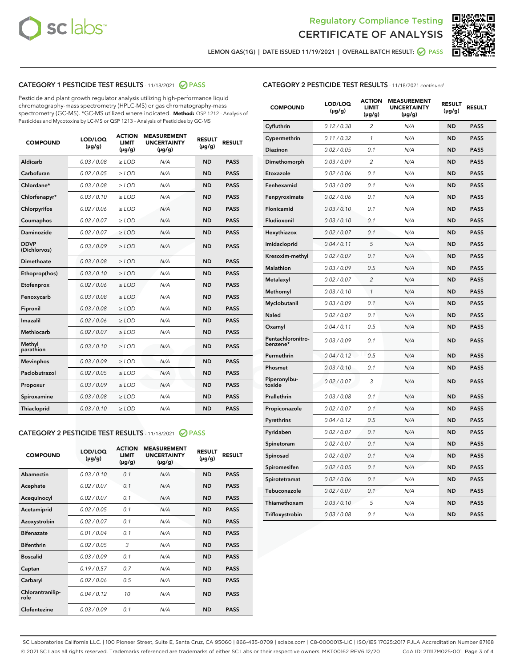



LEMON GAS(1G) | DATE ISSUED 11/19/2021 | OVERALL BATCH RESULT: 2 PASS

# CATEGORY 1 PESTICIDE TEST RESULTS - 11/18/2021 2 PASS

Pesticide and plant growth regulator analysis utilizing high-performance liquid chromatography-mass spectrometry (HPLC-MS) or gas chromatography-mass spectrometry (GC-MS). \*GC-MS utilized where indicated. **Method:** QSP 1212 - Analysis of Pesticides and Mycotoxins by LC-MS or QSP 1213 - Analysis of Pesticides by GC-MS

| 0.03 / 0.08<br>Aldicarb<br>$\ge$ LOD<br><b>ND</b><br><b>PASS</b><br>N/A<br>Carbofuran<br>0.02 / 0.05<br><b>ND</b><br><b>PASS</b><br>$\geq$ LOD<br>N/A<br>Chlordane*<br>0.03 / 0.08<br>N/A<br><b>ND</b><br><b>PASS</b><br>$\geq$ LOD<br>0.03/0.10<br><b>PASS</b><br>Chlorfenapyr*<br>$\geq$ LOD<br>N/A<br><b>ND</b><br>N/A<br>Chlorpyrifos<br>0.02 / 0.06<br><b>ND</b><br><b>PASS</b><br>$\ge$ LOD<br>0.02 / 0.07<br>N/A<br><b>PASS</b><br>Coumaphos<br>$>$ LOD<br><b>ND</b><br><b>Daminozide</b><br>0.02 / 0.07<br>$\ge$ LOD<br>N/A<br><b>ND</b><br><b>PASS</b><br><b>DDVP</b><br>0.03/0.09<br>N/A<br>$\ge$ LOD<br><b>ND</b><br><b>PASS</b><br>(Dichlorvos)<br>Dimethoate<br>0.03 / 0.08<br>$\ge$ LOD<br>N/A<br><b>ND</b><br><b>PASS</b><br>0.03/0.10<br><b>ND</b><br><b>PASS</b><br>Ethoprop(hos)<br>N/A<br>$\ge$ LOD<br>0.02 / 0.06<br>$\ge$ LOD<br>N/A<br><b>ND</b><br><b>PASS</b><br>Etofenprox<br>0.03 / 0.08<br><b>ND</b><br><b>PASS</b><br>Fenoxycarb<br>$\ge$ LOD<br>N/A<br>0.03/0.08<br>$\ge$ LOD<br>N/A<br><b>ND</b><br><b>PASS</b><br>Fipronil<br>Imazalil<br>0.02 / 0.06<br>$>$ LOD<br>N/A<br><b>ND</b><br><b>PASS</b><br>0.02 / 0.07<br><b>Methiocarb</b><br>$\ge$ LOD<br>N/A<br><b>ND</b><br><b>PASS</b><br>Methyl<br>0.03/0.10<br>N/A<br><b>ND</b><br><b>PASS</b><br>$\ge$ LOD<br>parathion<br>0.03/0.09<br>$>$ LOD<br>N/A<br><b>ND</b><br><b>PASS</b><br><b>Mevinphos</b><br>Paclobutrazol<br>0.02 / 0.05<br>$\ge$ LOD<br>N/A<br><b>ND</b><br><b>PASS</b><br>0.03/0.09<br>$>$ LOD<br>N/A<br><b>ND</b><br><b>PASS</b><br>Propoxur<br>0.03 / 0.08<br>N/A<br><b>ND</b><br><b>PASS</b><br>Spiroxamine<br>$\ge$ LOD<br>0.03/0.10<br>Thiacloprid<br>$\ge$ LOD<br>N/A<br><b>ND</b><br><b>PASS</b> | <b>COMPOUND</b> | LOD/LOQ<br>$(\mu g/g)$ | <b>ACTION</b><br><b>LIMIT</b><br>$(\mu g/g)$ | <b>MEASUREMENT</b><br><b>UNCERTAINTY</b><br>$(\mu g/g)$ | <b>RESULT</b><br>$(\mu g/g)$ | <b>RESULT</b> |
|------------------------------------------------------------------------------------------------------------------------------------------------------------------------------------------------------------------------------------------------------------------------------------------------------------------------------------------------------------------------------------------------------------------------------------------------------------------------------------------------------------------------------------------------------------------------------------------------------------------------------------------------------------------------------------------------------------------------------------------------------------------------------------------------------------------------------------------------------------------------------------------------------------------------------------------------------------------------------------------------------------------------------------------------------------------------------------------------------------------------------------------------------------------------------------------------------------------------------------------------------------------------------------------------------------------------------------------------------------------------------------------------------------------------------------------------------------------------------------------------------------------------------------------------------------------------------------------------------------------------------------------------------------------------------------------------------------|-----------------|------------------------|----------------------------------------------|---------------------------------------------------------|------------------------------|---------------|
|                                                                                                                                                                                                                                                                                                                                                                                                                                                                                                                                                                                                                                                                                                                                                                                                                                                                                                                                                                                                                                                                                                                                                                                                                                                                                                                                                                                                                                                                                                                                                                                                                                                                                                            |                 |                        |                                              |                                                         |                              |               |
|                                                                                                                                                                                                                                                                                                                                                                                                                                                                                                                                                                                                                                                                                                                                                                                                                                                                                                                                                                                                                                                                                                                                                                                                                                                                                                                                                                                                                                                                                                                                                                                                                                                                                                            |                 |                        |                                              |                                                         |                              |               |
|                                                                                                                                                                                                                                                                                                                                                                                                                                                                                                                                                                                                                                                                                                                                                                                                                                                                                                                                                                                                                                                                                                                                                                                                                                                                                                                                                                                                                                                                                                                                                                                                                                                                                                            |                 |                        |                                              |                                                         |                              |               |
|                                                                                                                                                                                                                                                                                                                                                                                                                                                                                                                                                                                                                                                                                                                                                                                                                                                                                                                                                                                                                                                                                                                                                                                                                                                                                                                                                                                                                                                                                                                                                                                                                                                                                                            |                 |                        |                                              |                                                         |                              |               |
|                                                                                                                                                                                                                                                                                                                                                                                                                                                                                                                                                                                                                                                                                                                                                                                                                                                                                                                                                                                                                                                                                                                                                                                                                                                                                                                                                                                                                                                                                                                                                                                                                                                                                                            |                 |                        |                                              |                                                         |                              |               |
|                                                                                                                                                                                                                                                                                                                                                                                                                                                                                                                                                                                                                                                                                                                                                                                                                                                                                                                                                                                                                                                                                                                                                                                                                                                                                                                                                                                                                                                                                                                                                                                                                                                                                                            |                 |                        |                                              |                                                         |                              |               |
|                                                                                                                                                                                                                                                                                                                                                                                                                                                                                                                                                                                                                                                                                                                                                                                                                                                                                                                                                                                                                                                                                                                                                                                                                                                                                                                                                                                                                                                                                                                                                                                                                                                                                                            |                 |                        |                                              |                                                         |                              |               |
|                                                                                                                                                                                                                                                                                                                                                                                                                                                                                                                                                                                                                                                                                                                                                                                                                                                                                                                                                                                                                                                                                                                                                                                                                                                                                                                                                                                                                                                                                                                                                                                                                                                                                                            |                 |                        |                                              |                                                         |                              |               |
|                                                                                                                                                                                                                                                                                                                                                                                                                                                                                                                                                                                                                                                                                                                                                                                                                                                                                                                                                                                                                                                                                                                                                                                                                                                                                                                                                                                                                                                                                                                                                                                                                                                                                                            |                 |                        |                                              |                                                         |                              |               |
|                                                                                                                                                                                                                                                                                                                                                                                                                                                                                                                                                                                                                                                                                                                                                                                                                                                                                                                                                                                                                                                                                                                                                                                                                                                                                                                                                                                                                                                                                                                                                                                                                                                                                                            |                 |                        |                                              |                                                         |                              |               |
|                                                                                                                                                                                                                                                                                                                                                                                                                                                                                                                                                                                                                                                                                                                                                                                                                                                                                                                                                                                                                                                                                                                                                                                                                                                                                                                                                                                                                                                                                                                                                                                                                                                                                                            |                 |                        |                                              |                                                         |                              |               |
|                                                                                                                                                                                                                                                                                                                                                                                                                                                                                                                                                                                                                                                                                                                                                                                                                                                                                                                                                                                                                                                                                                                                                                                                                                                                                                                                                                                                                                                                                                                                                                                                                                                                                                            |                 |                        |                                              |                                                         |                              |               |
|                                                                                                                                                                                                                                                                                                                                                                                                                                                                                                                                                                                                                                                                                                                                                                                                                                                                                                                                                                                                                                                                                                                                                                                                                                                                                                                                                                                                                                                                                                                                                                                                                                                                                                            |                 |                        |                                              |                                                         |                              |               |
|                                                                                                                                                                                                                                                                                                                                                                                                                                                                                                                                                                                                                                                                                                                                                                                                                                                                                                                                                                                                                                                                                                                                                                                                                                                                                                                                                                                                                                                                                                                                                                                                                                                                                                            |                 |                        |                                              |                                                         |                              |               |
|                                                                                                                                                                                                                                                                                                                                                                                                                                                                                                                                                                                                                                                                                                                                                                                                                                                                                                                                                                                                                                                                                                                                                                                                                                                                                                                                                                                                                                                                                                                                                                                                                                                                                                            |                 |                        |                                              |                                                         |                              |               |
|                                                                                                                                                                                                                                                                                                                                                                                                                                                                                                                                                                                                                                                                                                                                                                                                                                                                                                                                                                                                                                                                                                                                                                                                                                                                                                                                                                                                                                                                                                                                                                                                                                                                                                            |                 |                        |                                              |                                                         |                              |               |
|                                                                                                                                                                                                                                                                                                                                                                                                                                                                                                                                                                                                                                                                                                                                                                                                                                                                                                                                                                                                                                                                                                                                                                                                                                                                                                                                                                                                                                                                                                                                                                                                                                                                                                            |                 |                        |                                              |                                                         |                              |               |
|                                                                                                                                                                                                                                                                                                                                                                                                                                                                                                                                                                                                                                                                                                                                                                                                                                                                                                                                                                                                                                                                                                                                                                                                                                                                                                                                                                                                                                                                                                                                                                                                                                                                                                            |                 |                        |                                              |                                                         |                              |               |
|                                                                                                                                                                                                                                                                                                                                                                                                                                                                                                                                                                                                                                                                                                                                                                                                                                                                                                                                                                                                                                                                                                                                                                                                                                                                                                                                                                                                                                                                                                                                                                                                                                                                                                            |                 |                        |                                              |                                                         |                              |               |
|                                                                                                                                                                                                                                                                                                                                                                                                                                                                                                                                                                                                                                                                                                                                                                                                                                                                                                                                                                                                                                                                                                                                                                                                                                                                                                                                                                                                                                                                                                                                                                                                                                                                                                            |                 |                        |                                              |                                                         |                              |               |
|                                                                                                                                                                                                                                                                                                                                                                                                                                                                                                                                                                                                                                                                                                                                                                                                                                                                                                                                                                                                                                                                                                                                                                                                                                                                                                                                                                                                                                                                                                                                                                                                                                                                                                            |                 |                        |                                              |                                                         |                              |               |

# CATEGORY 2 PESTICIDE TEST RESULTS - 11/18/2021 @ PASS

| <b>COMPOUND</b>          | LOD/LOO<br>$(\mu g/g)$ | <b>ACTION</b><br>LIMIT<br>$(\mu g/g)$ | <b>MEASUREMENT</b><br><b>UNCERTAINTY</b><br>$(\mu g/g)$ | <b>RESULT</b><br>$(\mu g/g)$ | <b>RESULT</b> |
|--------------------------|------------------------|---------------------------------------|---------------------------------------------------------|------------------------------|---------------|
| Abamectin                | 0.03/0.10              | 0.1                                   | N/A                                                     | <b>ND</b>                    | <b>PASS</b>   |
| Acephate                 | 0.02/0.07              | 0.1                                   | N/A                                                     | <b>ND</b>                    | <b>PASS</b>   |
| Acequinocyl              | 0.02/0.07              | 0.1                                   | N/A                                                     | <b>ND</b>                    | <b>PASS</b>   |
| Acetamiprid              | 0.02/0.05              | 0.1                                   | N/A                                                     | <b>ND</b>                    | <b>PASS</b>   |
| Azoxystrobin             | 0.02/0.07              | 0.1                                   | N/A                                                     | <b>ND</b>                    | <b>PASS</b>   |
| <b>Bifenazate</b>        | 0.01/0.04              | 0.1                                   | N/A                                                     | <b>ND</b>                    | <b>PASS</b>   |
| <b>Bifenthrin</b>        | 0.02 / 0.05            | 3                                     | N/A                                                     | <b>ND</b>                    | <b>PASS</b>   |
| <b>Boscalid</b>          | 0.03/0.09              | 0.1                                   | N/A                                                     | <b>ND</b>                    | <b>PASS</b>   |
| Captan                   | 0.19/0.57              | 0.7                                   | N/A                                                     | <b>ND</b>                    | <b>PASS</b>   |
| Carbaryl                 | 0.02/0.06              | 0.5                                   | N/A                                                     | <b>ND</b>                    | <b>PASS</b>   |
| Chlorantranilip-<br>role | 0.04/0.12              | 10                                    | N/A                                                     | <b>ND</b>                    | <b>PASS</b>   |
| Clofentezine             | 0.03/0.09              | 0.1                                   | N/A                                                     | <b>ND</b>                    | <b>PASS</b>   |

| <b>COMPOUND</b>               | LOD/LOQ<br>(µg/g) | <b>ACTION</b><br><b>LIMIT</b><br>(µg/g) | <b>MEASUREMENT</b><br><b>UNCERTAINTY</b><br>$(\mu g/g)$ | <b>RESULT</b><br>(µg/g) | <b>RESULT</b> |
|-------------------------------|-------------------|-----------------------------------------|---------------------------------------------------------|-------------------------|---------------|
| Cyfluthrin                    | 0.12 / 0.38       | $\overline{c}$                          | N/A                                                     | <b>ND</b>               | <b>PASS</b>   |
| Cypermethrin                  | 0.11 / 0.32       | $\mathcal{I}$                           | N/A                                                     | <b>ND</b>               | <b>PASS</b>   |
| <b>Diazinon</b>               | 0.02 / 0.05       | 0.1                                     | N/A                                                     | <b>ND</b>               | <b>PASS</b>   |
| Dimethomorph                  | 0.03 / 0.09       | 2                                       | N/A                                                     | <b>ND</b>               | <b>PASS</b>   |
| Etoxazole                     | 0.02 / 0.06       | 0.1                                     | N/A                                                     | <b>ND</b>               | <b>PASS</b>   |
| Fenhexamid                    | 0.03 / 0.09       | 0.1                                     | N/A                                                     | <b>ND</b>               | <b>PASS</b>   |
| Fenpyroximate                 | 0.02 / 0.06       | 0.1                                     | N/A                                                     | <b>ND</b>               | <b>PASS</b>   |
| Flonicamid                    | 0.03 / 0.10       | 0.1                                     | N/A                                                     | <b>ND</b>               | <b>PASS</b>   |
| Fludioxonil                   | 0.03/0.10         | 0.1                                     | N/A                                                     | <b>ND</b>               | <b>PASS</b>   |
| Hexythiazox                   | 0.02 / 0.07       | 0.1                                     | N/A                                                     | <b>ND</b>               | <b>PASS</b>   |
| Imidacloprid                  | 0.04 / 0.11       | 5                                       | N/A                                                     | <b>ND</b>               | <b>PASS</b>   |
| Kresoxim-methyl               | 0.02 / 0.07       | 0.1                                     | N/A                                                     | <b>ND</b>               | <b>PASS</b>   |
| <b>Malathion</b>              | 0.03 / 0.09       | 0.5                                     | N/A                                                     | <b>ND</b>               | <b>PASS</b>   |
| Metalaxyl                     | 0.02 / 0.07       | $\overline{c}$                          | N/A                                                     | <b>ND</b>               | <b>PASS</b>   |
| Methomyl                      | 0.03 / 0.10       | 1                                       | N/A                                                     | <b>ND</b>               | <b>PASS</b>   |
| Myclobutanil                  | 0.03 / 0.09       | 0.1                                     | N/A                                                     | <b>ND</b>               | <b>PASS</b>   |
| Naled                         | 0.02 / 0.07       | 0.1                                     | N/A                                                     | <b>ND</b>               | <b>PASS</b>   |
| Oxamyl                        | 0.04 / 0.11       | 0.5                                     | N/A                                                     | <b>ND</b>               | <b>PASS</b>   |
| Pentachloronitro-<br>benzene* | 0.03 / 0.09       | 0.1                                     | N/A                                                     | <b>ND</b>               | <b>PASS</b>   |
| Permethrin                    | 0.04 / 0.12       | 0.5                                     | N/A                                                     | <b>ND</b>               | <b>PASS</b>   |
| Phosmet                       | 0.03 / 0.10       | 0.1                                     | N/A                                                     | <b>ND</b>               | <b>PASS</b>   |
| Piperonylbu-<br>toxide        | 0.02 / 0.07       | 3                                       | N/A                                                     | <b>ND</b>               | <b>PASS</b>   |
| Prallethrin                   | 0.03 / 0.08       | 0.1                                     | N/A                                                     | <b>ND</b>               | <b>PASS</b>   |
| Propiconazole                 | 0.02 / 0.07       | 0.1                                     | N/A                                                     | <b>ND</b>               | <b>PASS</b>   |
| Pyrethrins                    | 0.04 / 0.12       | 0.5                                     | N/A                                                     | <b>ND</b>               | <b>PASS</b>   |
| Pyridaben                     | 0.02 / 0.07       | 0.1                                     | N/A                                                     | <b>ND</b>               | <b>PASS</b>   |
| Spinetoram                    | 0.02 / 0.07       | 0.1                                     | N/A                                                     | <b>ND</b>               | <b>PASS</b>   |
| Spinosad                      | 0.02 / 0.07       | 0.1                                     | N/A                                                     | <b>ND</b>               | <b>PASS</b>   |
| Spiromesifen                  | 0.02 / 0.05       | 0.1                                     | N/A                                                     | <b>ND</b>               | <b>PASS</b>   |
| Spirotetramat                 | 0.02 / 0.06       | 0.1                                     | N/A                                                     | <b>ND</b>               | <b>PASS</b>   |
| Tebuconazole                  | 0.02 / 0.07       | 0.1                                     | N/A                                                     | <b>ND</b>               | <b>PASS</b>   |
| Thiamethoxam                  | 0.03 / 0.10       | 5                                       | N/A                                                     | <b>ND</b>               | <b>PASS</b>   |
| Trifloxystrobin               | 0.03 / 0.08       | 0.1                                     | N/A                                                     | <b>ND</b>               | <b>PASS</b>   |

SC Laboratories California LLC. | 100 Pioneer Street, Suite E, Santa Cruz, CA 95060 | 866-435-0709 | sclabs.com | C8-0000013-LIC | ISO/IES 17025:2017 PJLA Accreditation Number 87168 © 2021 SC Labs all rights reserved. Trademarks referenced are trademarks of either SC Labs or their respective owners. MKT00162 REV6 12/20 CoA ID: 211117M025-001 Page 3 of 4